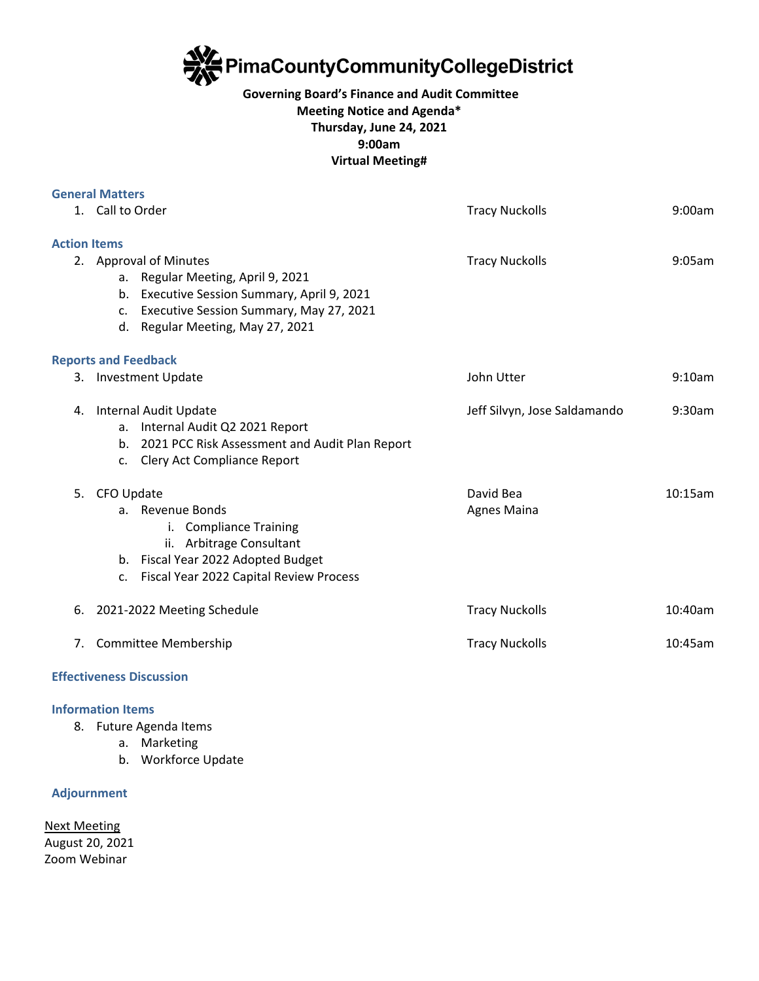**PimaCountyCommunityCollegeDistrict** 

## **Governing Board's Finance and Audit Committee Meeting Notice and Agenda\* Thursday, June 24, 2021 9:00am Virtual Meeting#**

|                     | <b>General Matters</b>                                                                                                                                                                                         |                                 |         |
|---------------------|----------------------------------------------------------------------------------------------------------------------------------------------------------------------------------------------------------------|---------------------------------|---------|
|                     | 1. Call to Order                                                                                                                                                                                               | <b>Tracy Nuckolls</b>           | 9:00am  |
| <b>Action Items</b> |                                                                                                                                                                                                                |                                 |         |
|                     | 2. Approval of Minutes<br>a. Regular Meeting, April 9, 2021<br>Executive Session Summary, April 9, 2021<br>b.<br>Executive Session Summary, May 27, 2021<br>$C_{\star}$<br>Regular Meeting, May 27, 2021<br>d. | <b>Tracy Nuckolls</b>           | 9:05am  |
|                     | <b>Reports and Feedback</b>                                                                                                                                                                                    |                                 |         |
|                     | 3. Investment Update                                                                                                                                                                                           | John Utter                      | 9:10am  |
| 4.                  | Internal Audit Update<br>Internal Audit Q2 2021 Report<br>a.<br>2021 PCC Risk Assessment and Audit Plan Report<br>b <sub>1</sub><br>Clery Act Compliance Report<br>$\mathsf{C}$ .                              | Jeff Silvyn, Jose Saldamando    | 9:30am  |
| 5.                  | CFO Update<br>a. Revenue Bonds<br>i. Compliance Training<br>ii. Arbitrage Consultant<br>b. Fiscal Year 2022 Adopted Budget<br>Fiscal Year 2022 Capital Review Process<br>c.                                    | David Bea<br><b>Agnes Maina</b> | 10:15am |
| 6.                  | 2021-2022 Meeting Schedule                                                                                                                                                                                     | <b>Tracy Nuckolls</b>           | 10:40am |
| 7 <sub>1</sub>      | Committee Membership                                                                                                                                                                                           | <b>Tracy Nuckolls</b>           | 10:45am |

# **Effectiveness Discussion**

## **Information Items**

- 8. Future Agenda Items
	- a. Marketing
	- b. Workforce Update

### **Adjournment**

Next Meeting August 20, 2021 Zoom Webinar